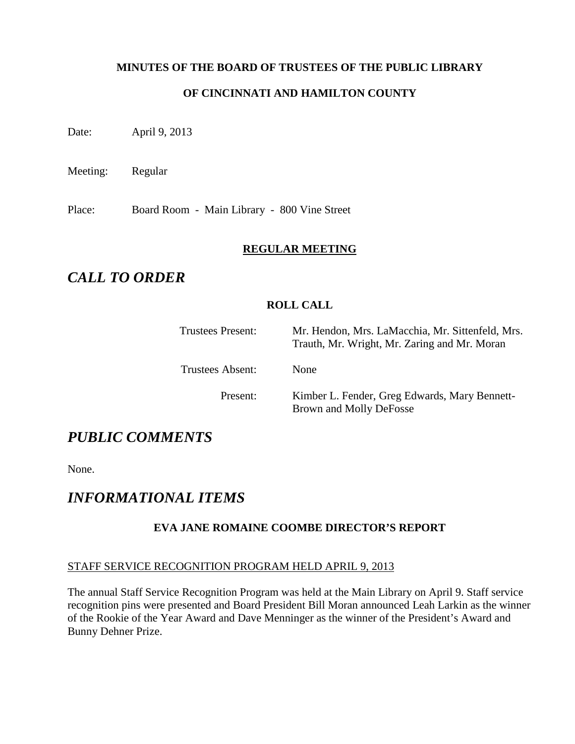## **MINUTES OF THE BOARD OF TRUSTEES OF THE PUBLIC LIBRARY**

## **OF CINCINNATI AND HAMILTON COUNTY**

Date: April 9, 2013

Meeting: Regular

Place: Board Room - Main Library - 800 Vine Street

#### **REGULAR MEETING**

## *CALL TO ORDER*

## **ROLL CALL**

| <b>Trustees Present:</b> | Mr. Hendon, Mrs. LaMacchia, Mr. Sittenfeld, Mrs.<br>Trauth, Mr. Wright, Mr. Zaring and Mr. Moran |
|--------------------------|--------------------------------------------------------------------------------------------------|
| Trustees Absent:         | <b>None</b>                                                                                      |
| Present:                 | Kimber L. Fender, Greg Edwards, Mary Bennett-<br>Brown and Molly DeFosse                         |

# *PUBLIC COMMENTS*

None.

## *INFORMATIONAL ITEMS*

## **EVA JANE ROMAINE COOMBE DIRECTOR'S REPORT**

## STAFF SERVICE RECOGNITION PROGRAM HELD APRIL 9, 2013

The annual Staff Service Recognition Program was held at the Main Library on April 9. Staff service recognition pins were presented and Board President Bill Moran announced Leah Larkin as the winner of the Rookie of the Year Award and Dave Menninger as the winner of the President's Award and Bunny Dehner Prize.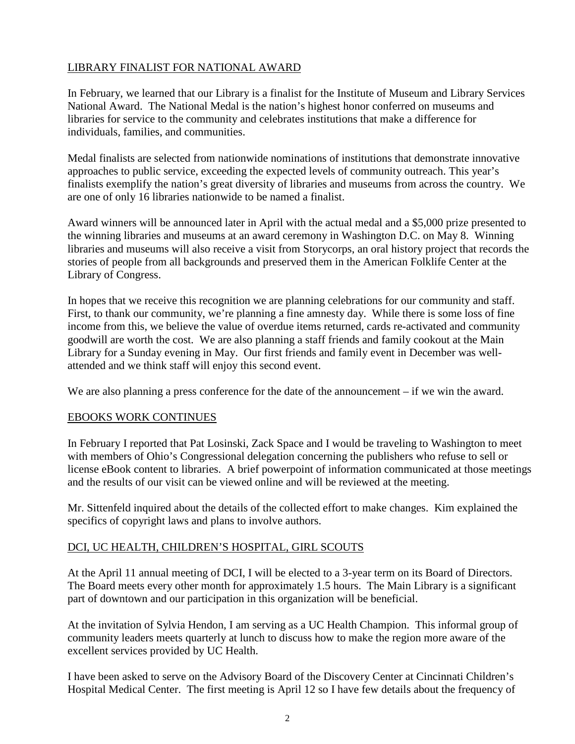## LIBRARY FINALIST FOR NATIONAL AWARD

In February, we learned that our Library is a finalist for the Institute of Museum and Library Services National Award. The National Medal is the nation's highest honor conferred on museums and libraries for service to the community and celebrates institutions that make a difference for individuals, families, and communities.

Medal finalists are selected from nationwide nominations of institutions that demonstrate innovative approaches to public service, exceeding the expected levels of community outreach. This year's finalists exemplify the nation's great diversity of libraries and museums from across the country. We are one of only 16 libraries nationwide to be named a finalist.

Award winners will be announced later in April with the actual medal and a \$5,000 prize presented to the winning libraries and museums at an award ceremony in Washington D.C. on May 8. Winning libraries and museums will also receive a visit from Storycorps, an oral history project that records the stories of people from all backgrounds and preserved them in the American Folklife Center at the Library of Congress.

In hopes that we receive this recognition we are planning celebrations for our community and staff. First, to thank our community, we're planning a fine amnesty day. While there is some loss of fine income from this, we believe the value of overdue items returned, cards re-activated and community goodwill are worth the cost. We are also planning a staff friends and family cookout at the Main Library for a Sunday evening in May. Our first friends and family event in December was wellattended and we think staff will enjoy this second event.

We are also planning a press conference for the date of the announcement – if we win the award.

#### EBOOKS WORK CONTINUES

In February I reported that Pat Losinski, Zack Space and I would be traveling to Washington to meet with members of Ohio's Congressional delegation concerning the publishers who refuse to sell or license eBook content to libraries. A brief powerpoint of information communicated at those meetings and the results of our visit can be viewed online and will be reviewed at the meeting.

Mr. Sittenfeld inquired about the details of the collected effort to make changes. Kim explained the specifics of copyright laws and plans to involve authors.

## DCI, UC HEALTH, CHILDREN'S HOSPITAL, GIRL SCOUTS

At the April 11 annual meeting of DCI, I will be elected to a 3-year term on its Board of Directors. The Board meets every other month for approximately 1.5 hours. The Main Library is a significant part of downtown and our participation in this organization will be beneficial.

At the invitation of Sylvia Hendon, I am serving as a UC Health Champion. This informal group of community leaders meets quarterly at lunch to discuss how to make the region more aware of the excellent services provided by UC Health.

I have been asked to serve on the Advisory Board of the Discovery Center at Cincinnati Children's Hospital Medical Center. The first meeting is April 12 so I have few details about the frequency of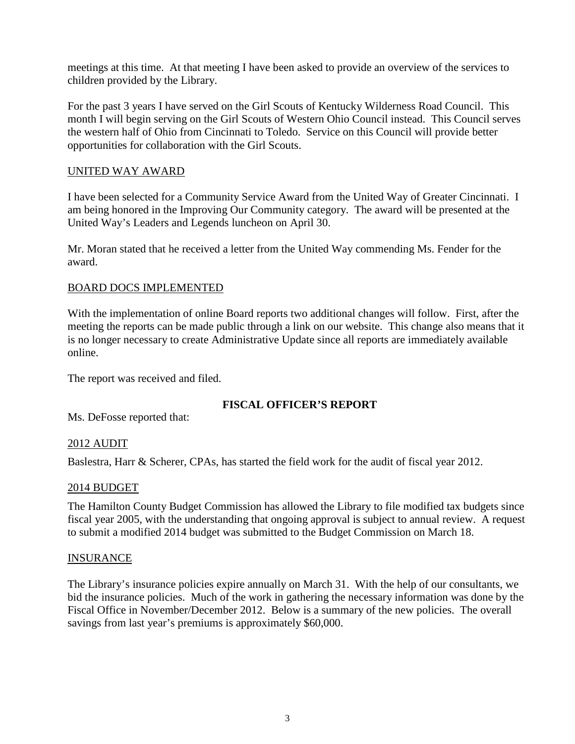meetings at this time. At that meeting I have been asked to provide an overview of the services to children provided by the Library.

For the past 3 years I have served on the Girl Scouts of Kentucky Wilderness Road Council. This month I will begin serving on the Girl Scouts of Western Ohio Council instead. This Council serves the western half of Ohio from Cincinnati to Toledo. Service on this Council will provide better opportunities for collaboration with the Girl Scouts.

## UNITED WAY AWARD

I have been selected for a Community Service Award from the United Way of Greater Cincinnati. I am being honored in the Improving Our Community category. The award will be presented at the United Way's Leaders and Legends luncheon on April 30.

Mr. Moran stated that he received a letter from the United Way commending Ms. Fender for the award.

## BOARD DOCS IMPLEMENTED

With the implementation of online Board reports two additional changes will follow. First, after the meeting the reports can be made public through a link on our website. This change also means that it is no longer necessary to create Administrative Update since all reports are immediately available online.

The report was received and filed.

## **FISCAL OFFICER'S REPORT**

Ms. DeFosse reported that:

## 2012 AUDIT

Baslestra, Harr & Scherer, CPAs, has started the field work for the audit of fiscal year 2012.

## 2014 BUDGET

The Hamilton County Budget Commission has allowed the Library to file modified tax budgets since fiscal year 2005, with the understanding that ongoing approval is subject to annual review. A request to submit a modified 2014 budget was submitted to the Budget Commission on March 18.

#### INSURANCE

The Library's insurance policies expire annually on March 31. With the help of our consultants, we bid the insurance policies. Much of the work in gathering the necessary information was done by the Fiscal Office in November/December 2012. Below is a summary of the new policies. The overall savings from last year's premiums is approximately \$60,000.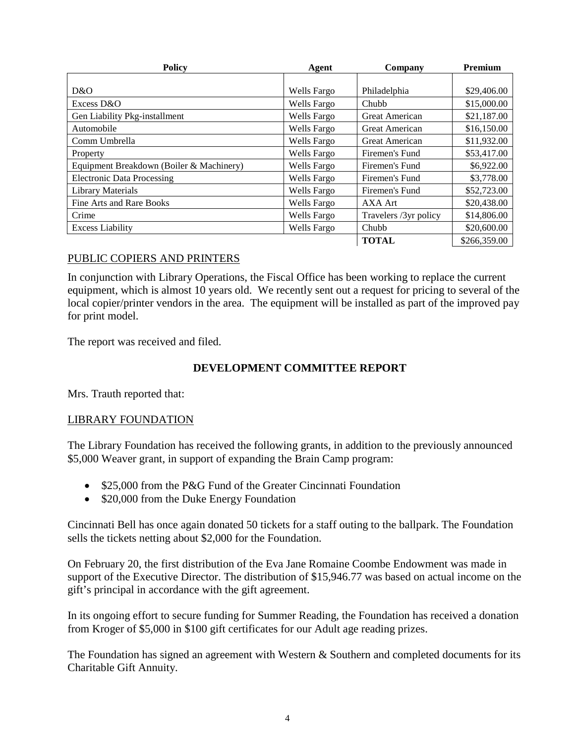| <b>Policy</b><br>Agent                   |                    | Company               | Premium      |  |
|------------------------------------------|--------------------|-----------------------|--------------|--|
|                                          |                    |                       |              |  |
| D&O                                      | Wells Fargo        | Philadelphia          | \$29,406.00  |  |
| Excess D&O                               | <b>Wells Fargo</b> | Chubb                 | \$15,000.00  |  |
| Gen Liability Pkg-installment            | <b>Wells Fargo</b> | Great American        | \$21,187.00  |  |
| Automobile                               | <b>Wells Fargo</b> | <b>Great American</b> | \$16,150.00  |  |
| Comm Umbrella                            | Wells Fargo        | <b>Great American</b> | \$11,932.00  |  |
| Property                                 | Wells Fargo        | Firemen's Fund        | \$53,417.00  |  |
| Equipment Breakdown (Boiler & Machinery) | Wells Fargo        | Firemen's Fund        | \$6,922.00   |  |
| <b>Electronic Data Processing</b>        | <b>Wells Fargo</b> | Firemen's Fund        | \$3,778.00   |  |
| <b>Library Materials</b>                 | Wells Fargo        | Firemen's Fund        | \$52,723.00  |  |
| Fine Arts and Rare Books                 | Wells Fargo        | AXA Art               | \$20,438.00  |  |
| Crime                                    | Wells Fargo        | Travelers /3yr policy | \$14,806.00  |  |
| <b>Excess Liability</b>                  | <b>Wells Fargo</b> | Chubb                 | \$20,600.00  |  |
|                                          |                    | <b>TOTAL</b>          | \$266,359.00 |  |

## PUBLIC COPIERS AND PRINTERS

In conjunction with Library Operations, the Fiscal Office has been working to replace the current equipment, which is almost 10 years old. We recently sent out a request for pricing to several of the local copier/printer vendors in the area. The equipment will be installed as part of the improved pay for print model.

The report was received and filed.

## **DEVELOPMENT COMMITTEE REPORT**

Mrs. Trauth reported that:

## LIBRARY FOUNDATION

The Library Foundation has received the following grants, in addition to the previously announced \$5,000 Weaver grant, in support of expanding the Brain Camp program:

- \$25,000 from the P&G Fund of the Greater Cincinnati Foundation
- \$20,000 from the Duke Energy Foundation

Cincinnati Bell has once again donated 50 tickets for a staff outing to the ballpark. The Foundation sells the tickets netting about \$2,000 for the Foundation.

On February 20, the first distribution of the Eva Jane Romaine Coombe Endowment was made in support of the Executive Director. The distribution of \$15,946.77 was based on actual income on the gift's principal in accordance with the gift agreement.

In its ongoing effort to secure funding for Summer Reading, the Foundation has received a donation from Kroger of \$5,000 in \$100 gift certificates for our Adult age reading prizes.

The Foundation has signed an agreement with Western & Southern and completed documents for its Charitable Gift Annuity.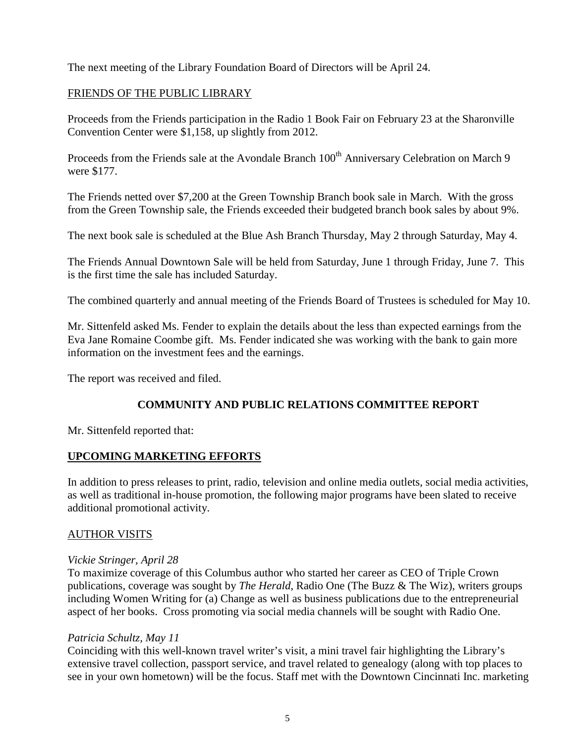The next meeting of the Library Foundation Board of Directors will be April 24.

#### FRIENDS OF THE PUBLIC LIBRARY

Proceeds from the Friends participation in the Radio 1 Book Fair on February 23 at the Sharonville Convention Center were \$1,158, up slightly from 2012.

Proceeds from the Friends sale at the Avondale Branch 100<sup>th</sup> Anniversary Celebration on March 9 were \$177.

The Friends netted over \$7,200 at the Green Township Branch book sale in March. With the gross from the Green Township sale, the Friends exceeded their budgeted branch book sales by about 9%.

The next book sale is scheduled at the Blue Ash Branch Thursday, May 2 through Saturday, May 4.

The Friends Annual Downtown Sale will be held from Saturday, June 1 through Friday, June 7. This is the first time the sale has included Saturday.

The combined quarterly and annual meeting of the Friends Board of Trustees is scheduled for May 10.

Mr. Sittenfeld asked Ms. Fender to explain the details about the less than expected earnings from the Eva Jane Romaine Coombe gift. Ms. Fender indicated she was working with the bank to gain more information on the investment fees and the earnings.

The report was received and filed.

## **COMMUNITY AND PUBLIC RELATIONS COMMITTEE REPORT**

Mr. Sittenfeld reported that:

#### **UPCOMING MARKETING EFFORTS**

In addition to press releases to print, radio, television and online media outlets, social media activities, as well as traditional in-house promotion, the following major programs have been slated to receive additional promotional activity.

#### AUTHOR VISITS

#### *Vickie Stringer, April 28*

To maximize coverage of this Columbus author who started her career as CEO of Triple Crown publications, coverage was sought by *The Herald*, Radio One (The Buzz & The Wiz), writers groups including Women Writing for (a) Change as well as business publications due to the entrepreneurial aspect of her books. Cross promoting via social media channels will be sought with Radio One.

#### *Patricia Schultz, May 11*

Coinciding with this well-known travel writer's visit, a mini travel fair highlighting the Library's extensive travel collection, passport service, and travel related to genealogy (along with top places to see in your own hometown) will be the focus. Staff met with the Downtown Cincinnati Inc. marketing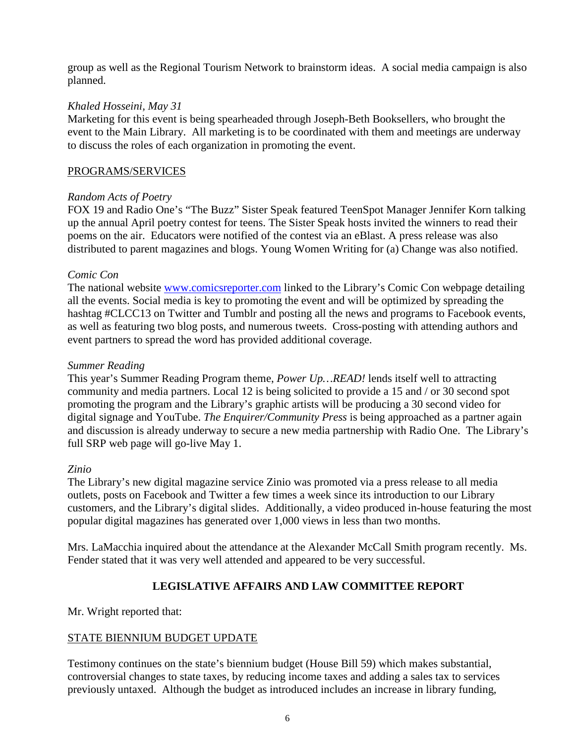group as well as the Regional Tourism Network to brainstorm ideas. A social media campaign is also planned.

## *Khaled Hosseini, May 31*

Marketing for this event is being spearheaded through Joseph-Beth Booksellers, who brought the event to the Main Library. All marketing is to be coordinated with them and meetings are underway to discuss the roles of each organization in promoting the event.

#### PROGRAMS/SERVICES

### *Random Acts of Poetry*

FOX 19 and Radio One's "The Buzz" Sister Speak featured TeenSpot Manager Jennifer Korn talking up the annual April poetry contest for teens. The Sister Speak hosts invited the winners to read their poems on the air. Educators were notified of the contest via an eBlast. A press release was also distributed to parent magazines and blogs. Young Women Writing for (a) Change was also notified.

### *Comic Con*

The national website **www.comicsreporter.com** linked to the Library's Comic Con webpage detailing all the events. Social media is key to promoting the event and will be optimized by spreading the hashtag #CLCC13 on Twitter and Tumblr and posting all the news and programs to Facebook events, as well as featuring two blog posts, and numerous tweets. Cross-posting with attending authors and event partners to spread the word has provided additional coverage.

### *Summer Reading*

This year's Summer Reading Program theme, *Power Up…READ!* lends itself well to attracting community and media partners. Local 12 is being solicited to provide a 15 and / or 30 second spot promoting the program and the Library's graphic artists will be producing a 30 second video for digital signage and YouTube. *The Enquirer/Community Press* is being approached as a partner again and discussion is already underway to secure a new media partnership with Radio One. The Library's full SRP web page will go-live May 1.

## *Zinio*

The Library's new digital magazine service Zinio was promoted via a press release to all media outlets, posts on Facebook and Twitter a few times a week since its introduction to our Library customers, and the Library's digital slides. Additionally, a video produced in-house featuring the most popular digital magazines has generated over 1,000 views in less than two months.

Mrs. LaMacchia inquired about the attendance at the Alexander McCall Smith program recently. Ms. Fender stated that it was very well attended and appeared to be very successful.

## **LEGISLATIVE AFFAIRS AND LAW COMMITTEE REPORT**

Mr. Wright reported that:

## STATE BIENNIUM BUDGET UPDATE

Testimony continues on the state's biennium budget (House Bill 59) which makes substantial, controversial changes to state taxes, by reducing income taxes and adding a sales tax to services previously untaxed. Although the budget as introduced includes an increase in library funding,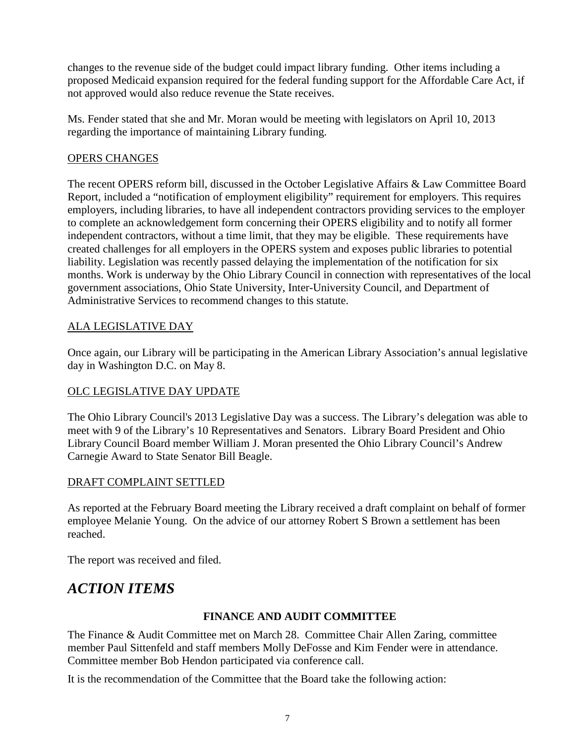changes to the revenue side of the budget could impact library funding. Other items including a proposed Medicaid expansion required for the federal funding support for the Affordable Care Act, if not approved would also reduce revenue the State receives.

Ms. Fender stated that she and Mr. Moran would be meeting with legislators on April 10, 2013 regarding the importance of maintaining Library funding.

## OPERS CHANGES

The recent OPERS reform bill, discussed in the October Legislative Affairs & Law Committee Board Report, included a "notification of employment eligibility" requirement for employers. This requires employers, including libraries, to have all independent contractors providing services to the employer to complete an acknowledgement form concerning their OPERS eligibility and to notify all former independent contractors, without a time limit, that they may be eligible. These requirements have created challenges for all employers in the OPERS system and exposes public libraries to potential liability. Legislation was recently passed delaying the implementation of the notification for six months. Work is underway by the Ohio Library Council in connection with representatives of the local government associations, Ohio State University, Inter-University Council, and Department of Administrative Services to recommend changes to this statute.

## ALA LEGISLATIVE DAY

Once again, our Library will be participating in the American Library Association's annual legislative day in Washington D.C. on May 8.

## OLC LEGISLATIVE DAY UPDATE

The Ohio Library Council's 2013 Legislative Day was a success. The Library's delegation was able to meet with 9 of the Library's 10 Representatives and Senators. Library Board President and Ohio Library Council Board member William J. Moran presented the Ohio Library Council's Andrew Carnegie Award to State Senator Bill Beagle.

## DRAFT COMPLAINT SETTLED

As reported at the February Board meeting the Library received a draft complaint on behalf of former employee Melanie Young. On the advice of our attorney Robert S Brown a settlement has been reached.

The report was received and filed.

# *ACTION ITEMS*

## **FINANCE AND AUDIT COMMITTEE**

The Finance & Audit Committee met on March 28. Committee Chair Allen Zaring, committee member Paul Sittenfeld and staff members Molly DeFosse and Kim Fender were in attendance. Committee member Bob Hendon participated via conference call.

It is the recommendation of the Committee that the Board take the following action: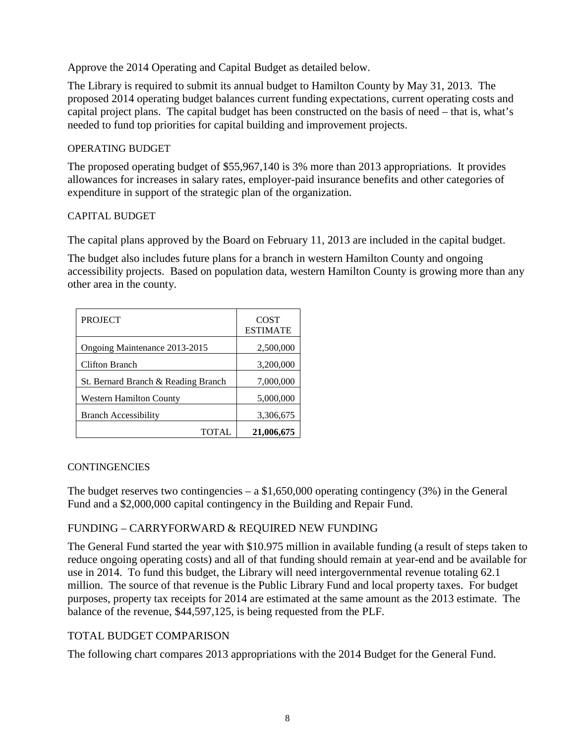Approve the 2014 Operating and Capital Budget as detailed below.

The Library is required to submit its annual budget to Hamilton County by May 31, 2013. The proposed 2014 operating budget balances current funding expectations, current operating costs and capital project plans. The capital budget has been constructed on the basis of need – that is, what's needed to fund top priorities for capital building and improvement projects.

#### OPERATING BUDGET

The proposed operating budget of \$55,967,140 is 3% more than 2013 appropriations. It provides allowances for increases in salary rates, employer-paid insurance benefits and other categories of expenditure in support of the strategic plan of the organization.

### CAPITAL BUDGET

The capital plans approved by the Board on February 11, 2013 are included in the capital budget.

The budget also includes future plans for a branch in western Hamilton County and ongoing accessibility projects. Based on population data, western Hamilton County is growing more than any other area in the county.

| <b>PROJECT</b>                      | <b>COST</b><br><b>ESTIMATE</b> |
|-------------------------------------|--------------------------------|
| Ongoing Maintenance 2013-2015       | 2,500,000                      |
| Clifton Branch                      | 3,200,000                      |
| St. Bernard Branch & Reading Branch | 7,000,000                      |
| <b>Western Hamilton County</b>      | 5,000,000                      |
| <b>Branch Accessibility</b>         | 3,306,675                      |
| TOTAL                               | 21,006,675                     |

#### **CONTINGENCIES**

The budget reserves two contingencies – a  $$1,650,000$  operating contingency (3%) in the General Fund and a \$2,000,000 capital contingency in the Building and Repair Fund.

## FUNDING – CARRYFORWARD & REQUIRED NEW FUNDING

The General Fund started the year with \$10.975 million in available funding (a result of steps taken to reduce ongoing operating costs) and all of that funding should remain at year-end and be available for use in 2014. To fund this budget, the Library will need intergovernmental revenue totaling 62.1 million. The source of that revenue is the Public Library Fund and local property taxes. For budget purposes, property tax receipts for 2014 are estimated at the same amount as the 2013 estimate. The balance of the revenue, \$44,597,125, is being requested from the PLF.

## TOTAL BUDGET COMPARISON

The following chart compares 2013 appropriations with the 2014 Budget for the General Fund.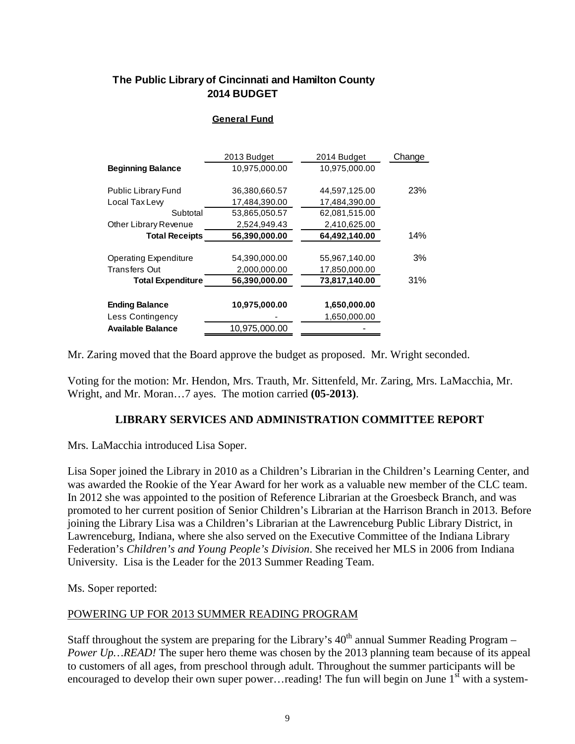## **The Public Library of Cincinnati and Hamilton County 2014 BUDGET**

#### **General Fund**

|                              | 2013 Budget   | 2014 Budget   | Change |
|------------------------------|---------------|---------------|--------|
| <b>Beginning Balance</b>     | 10,975,000.00 | 10,975,000.00 |        |
|                              |               |               |        |
| Public Library Fund          | 36,380,660.57 | 44,597,125.00 | 23%    |
| Local Tax Lew                | 17,484,390.00 | 17,484,390.00 |        |
| Subtotal                     | 53,865,050.57 | 62,081,515.00 |        |
| Other Library Revenue        | 2,524,949.43  | 2,410,625.00  |        |
| <b>Total Receipts</b>        | 56,390,000.00 | 64,492,140.00 | 14%    |
| <b>Operating Expenditure</b> | 54,390,000.00 | 55,967,140.00 | 3%     |
| <b>Transfers Out</b>         | 2,000,000.00  | 17,850,000.00 |        |
| <b>Total Expenditure</b>     | 56,390,000.00 | 73,817,140.00 | 31%    |
| <b>Ending Balance</b>        | 10,975,000.00 | 1,650,000.00  |        |
| Less Contingency             |               | 1,650,000.00  |        |
| <b>Available Balance</b>     | 10,975,000.00 |               |        |

Mr. Zaring moved that the Board approve the budget as proposed. Mr. Wright seconded.

Voting for the motion: Mr. Hendon, Mrs. Trauth, Mr. Sittenfeld, Mr. Zaring, Mrs. LaMacchia, Mr. Wright, and Mr. Moran…7 ayes. The motion carried **(05-2013)**.

## **LIBRARY SERVICES AND ADMINISTRATION COMMITTEE REPORT**

Mrs. LaMacchia introduced Lisa Soper.

Lisa Soper joined the Library in 2010 as a Children's Librarian in the Children's Learning Center, and was awarded the Rookie of the Year Award for her work as a valuable new member of the CLC team. In 2012 she was appointed to the position of Reference Librarian at the Groesbeck Branch, and was promoted to her current position of Senior Children's Librarian at the Harrison Branch in 2013. Before joining the Library Lisa was a Children's Librarian at the Lawrenceburg Public Library District, in Lawrenceburg, Indiana, where she also served on the Executive Committee of the Indiana Library Federation's *Children's and Young People's Division*. She received her MLS in 2006 from Indiana University. Lisa is the Leader for the 2013 Summer Reading Team.

Ms. Soper reported:

#### POWERING UP FOR 2013 SUMMER READING PROGRAM

Staff throughout the system are preparing for the Library's  $40<sup>th</sup>$  annual Summer Reading Program – *Power Up...READ!* The super hero theme was chosen by the 2013 planning team because of its appeal to customers of all ages, from preschool through adult. Throughout the summer participants will be encouraged to develop their own super power... reading! The fun will begin on June  $1<sup>st</sup>$  with a system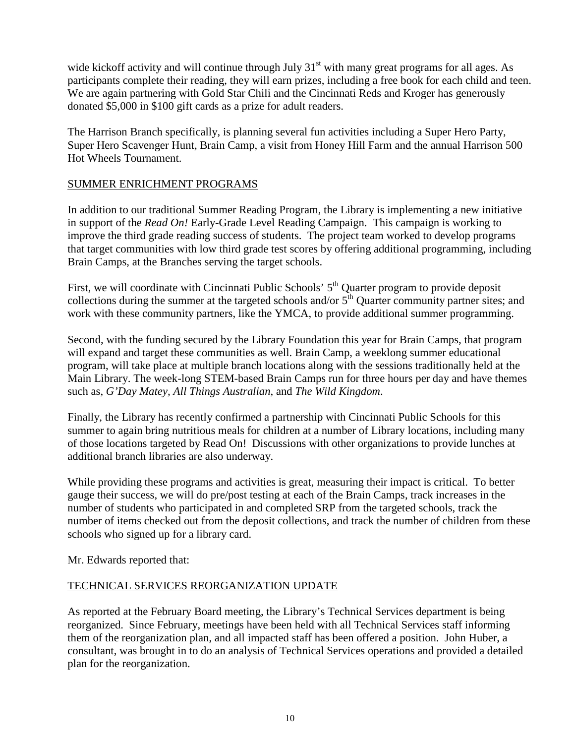wide kickoff activity and will continue through July  $31<sup>st</sup>$  with many great programs for all ages. As participants complete their reading, they will earn prizes, including a free book for each child and teen. We are again partnering with Gold Star Chili and the Cincinnati Reds and Kroger has generously donated \$5,000 in \$100 gift cards as a prize for adult readers.

The Harrison Branch specifically, is planning several fun activities including a Super Hero Party, Super Hero Scavenger Hunt, Brain Camp, a visit from Honey Hill Farm and the annual Harrison 500 Hot Wheels Tournament.

## SUMMER ENRICHMENT PROGRAMS

In addition to our traditional Summer Reading Program, the Library is implementing a new initiative in support of the *Read On!* Early-Grade Level Reading Campaign. This campaign is working to improve the third grade reading success of students. The project team worked to develop programs that target communities with low third grade test scores by offering additional programming, including Brain Camps, at the Branches serving the target schools.

First, we will coordinate with Cincinnati Public Schools' 5<sup>th</sup> Quarter program to provide deposit collections during the summer at the targeted schools and/or  $5<sup>th</sup>$  Quarter community partner sites; and work with these community partners, like the YMCA, to provide additional summer programming.

Second, with the funding secured by the Library Foundation this year for Brain Camps, that program will expand and target these communities as well. Brain Camp, a weeklong summer educational program, will take place at multiple branch locations along with the sessions traditionally held at the Main Library. The week-long STEM-based Brain Camps run for three hours per day and have themes such as, *G'Day Matey, All Things Australian*, and *The Wild Kingdom*.

Finally, the Library has recently confirmed a partnership with Cincinnati Public Schools for this summer to again bring nutritious meals for children at a number of Library locations, including many of those locations targeted by Read On! Discussions with other organizations to provide lunches at additional branch libraries are also underway.

While providing these programs and activities is great, measuring their impact is critical. To better gauge their success, we will do pre/post testing at each of the Brain Camps, track increases in the number of students who participated in and completed SRP from the targeted schools, track the number of items checked out from the deposit collections, and track the number of children from these schools who signed up for a library card.

Mr. Edwards reported that:

## TECHNICAL SERVICES REORGANIZATION UPDATE

As reported at the February Board meeting, the Library's Technical Services department is being reorganized. Since February, meetings have been held with all Technical Services staff informing them of the reorganization plan, and all impacted staff has been offered a position. John Huber, a consultant, was brought in to do an analysis of Technical Services operations and provided a detailed plan for the reorganization.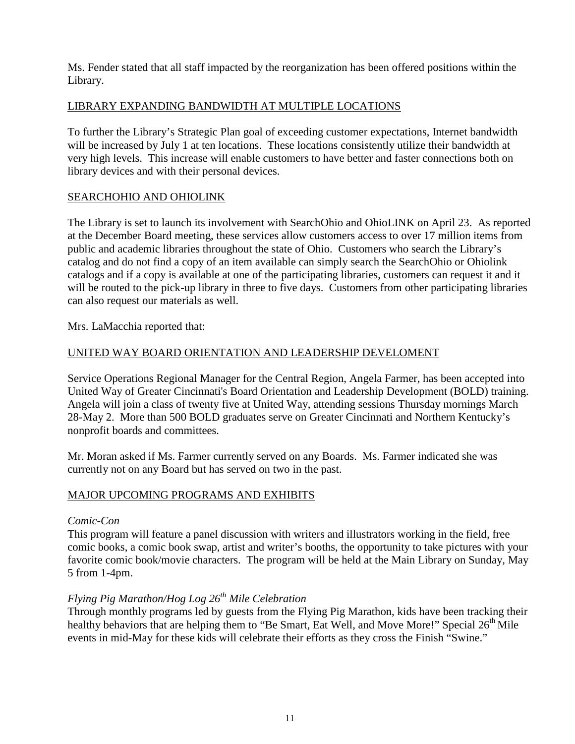Ms. Fender stated that all staff impacted by the reorganization has been offered positions within the Library.

## LIBRARY EXPANDING BANDWIDTH AT MULTIPLE LOCATIONS

To further the Library's Strategic Plan goal of exceeding customer expectations, Internet bandwidth will be increased by July 1 at ten locations. These locations consistently utilize their bandwidth at very high levels. This increase will enable customers to have better and faster connections both on library devices and with their personal devices.

## SEARCHOHIO AND OHIOLINK

The Library is set to launch its involvement with SearchOhio and OhioLINK on April 23. As reported at the December Board meeting, these services allow customers access to over 17 million items from public and academic libraries throughout the state of Ohio. Customers who search the Library's catalog and do not find a copy of an item available can simply search the SearchOhio or Ohiolink catalogs and if a copy is available at one of the participating libraries, customers can request it and it will be routed to the pick-up library in three to five days. Customers from other participating libraries can also request our materials as well.

Mrs. LaMacchia reported that:

## UNITED WAY BOARD ORIENTATION AND LEADERSHIP DEVELOMENT

Service Operations Regional Manager for the Central Region, Angela Farmer, has been accepted into United Way of Greater Cincinnati's Board Orientation and Leadership Development (BOLD) training. Angela will join a class of twenty five at United Way, attending sessions Thursday mornings March 28-May 2. More than 500 BOLD graduates serve on Greater Cincinnati and Northern Kentucky's nonprofit boards and committees.

Mr. Moran asked if Ms. Farmer currently served on any Boards. Ms. Farmer indicated she was currently not on any Board but has served on two in the past.

## MAJOR UPCOMING PROGRAMS AND EXHIBITS

#### *Comic-Con*

This program will feature a panel discussion with writers and illustrators working in the field, free comic books, a comic book swap, artist and writer's booths, the opportunity to take pictures with your favorite comic book/movie characters. The program will be held at the Main Library on Sunday, May 5 from 1-4pm.

## *Flying Pig Marathon/Hog Log 26th Mile Celebration*

Through monthly programs led by guests from the Flying Pig Marathon, kids have been tracking their healthy behaviors that are helping them to "Be Smart, Eat Well, and Move More!" Special  $26<sup>th</sup>$  Mile events in mid-May for these kids will celebrate their efforts as they cross the Finish "Swine."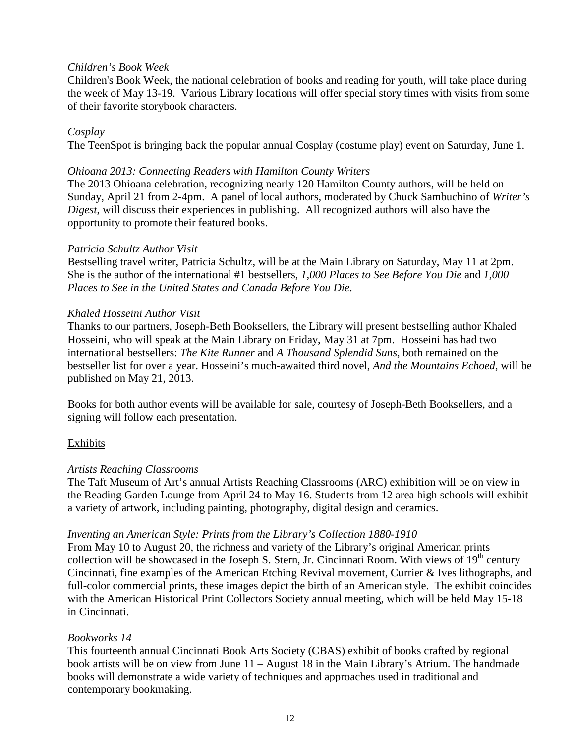### *Children's Book Week*

Children's Book Week, the national celebration of books and reading for youth, will take place during the week of May 13-19. Various Library locations will offer special story times with visits from some of their favorite storybook characters.

## *Cosplay*

The TeenSpot is bringing back the popular annual Cosplay (costume play) event on Saturday, June 1.

#### *Ohioana 2013: Connecting Readers with Hamilton County Writers*

The 2013 Ohioana celebration, recognizing nearly 120 Hamilton County authors, will be held on Sunday, April 21 from 2-4pm. A panel of local authors, moderated by Chuck Sambuchino of *Writer's Digest*, will discuss their experiences in publishing. All recognized authors will also have the opportunity to promote their featured books.

#### *Patricia Schultz Author Visit*

Bestselling travel writer, Patricia Schultz, will be at the Main Library on Saturday, May 11 at 2pm. She is the author of the international #1 bestsellers, *1,000 Places to See Before You Die* and *1,000 Places to See in the United States and Canada Before You Die*.

#### *Khaled Hosseini Author Visit*

Thanks to our partners, Joseph-Beth Booksellers, the Library will present bestselling author Khaled Hosseini, who will speak at the Main Library on Friday, May 31 at 7pm. Hosseini has had two international bestsellers: *The Kite Runner* and *A Thousand Splendid Suns*, both remained on the bestseller list for over a year. Hosseini's much-awaited third novel, *And the Mountains Echoed*, will be published on May 21, 2013.

Books for both author events will be available for sale, courtesy of Joseph-Beth Booksellers, and a signing will follow each presentation.

#### Exhibits

#### *Artists Reaching Classrooms*

The Taft Museum of Art's annual Artists Reaching Classrooms (ARC) exhibition will be on view in the Reading Garden Lounge from April 24 to May 16. Students from 12 area high schools will exhibit a variety of artwork, including painting, photography, digital design and ceramics.

#### *Inventing an American Style: Prints from the Library's Collection 1880-1910*

From May 10 to August 20, the richness and variety of the Library's original American prints collection will be showcased in the Joseph S. Stern, Jr. Cincinnati Room. With views of  $19<sup>th</sup>$  century Cincinnati, fine examples of the American Etching Revival movement, Currier & Ives lithographs, and full-color commercial prints, these images depict the birth of an American style. The exhibit coincides with the American Historical Print Collectors Society annual meeting, which will be held May 15-18 in Cincinnati.

#### *Bookworks 14*

This fourteenth annual Cincinnati Book Arts Society (CBAS) exhibit of books crafted by regional book artists will be on view from June 11 – August 18 in the Main Library's Atrium. The handmade books will demonstrate a wide variety of techniques and approaches used in traditional and contemporary bookmaking.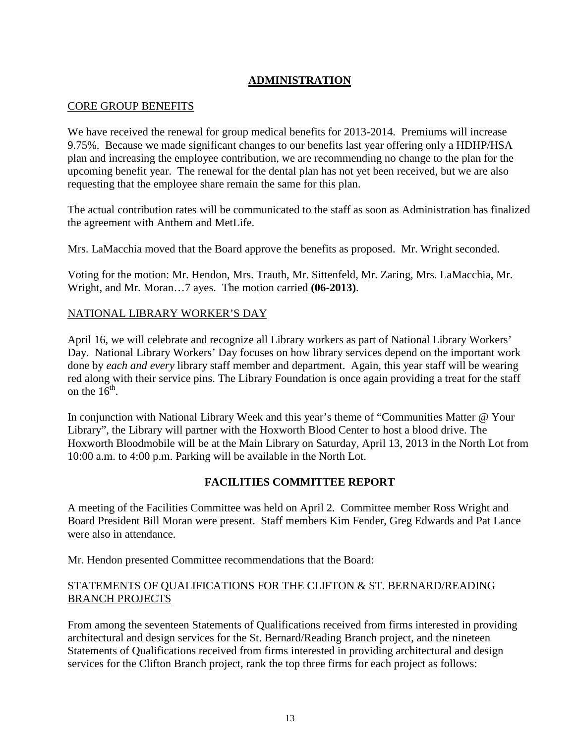## **ADMINISTRATION**

### CORE GROUP BENEFITS

We have received the renewal for group medical benefits for 2013-2014. Premiums will increase 9.75%. Because we made significant changes to our benefits last year offering only a HDHP/HSA plan and increasing the employee contribution, we are recommending no change to the plan for the upcoming benefit year. The renewal for the dental plan has not yet been received, but we are also requesting that the employee share remain the same for this plan.

The actual contribution rates will be communicated to the staff as soon as Administration has finalized the agreement with Anthem and MetLife.

Mrs. LaMacchia moved that the Board approve the benefits as proposed. Mr. Wright seconded.

Voting for the motion: Mr. Hendon, Mrs. Trauth, Mr. Sittenfeld, Mr. Zaring, Mrs. LaMacchia, Mr. Wright, and Mr. Moran…7 ayes. The motion carried **(06-2013)**.

### NATIONAL LIBRARY WORKER'S DAY

April 16, we will celebrate and recognize all Library workers as part of National Library Workers' Day. National Library Workers' Day focuses on how library services depend on the important work done by *each and every* library staff member and department. Again, this year staff will be wearing red along with their service pins. The Library Foundation is once again providing a treat for the staff on the  $16<sup>th</sup>$ .

In conjunction with National Library Week and this year's theme of "Communities Matter @ Your Library", the Library will partner with the Hoxworth Blood Center to host a blood drive. The Hoxworth Bloodmobile will be at the Main Library on Saturday, April 13, 2013 in the North Lot from 10:00 a.m. to 4:00 p.m. Parking will be available in the North Lot.

## **FACILITIES COMMITTEE REPORT**

A meeting of the Facilities Committee was held on April 2. Committee member Ross Wright and Board President Bill Moran were present. Staff members Kim Fender, Greg Edwards and Pat Lance were also in attendance.

Mr. Hendon presented Committee recommendations that the Board:

### STATEMENTS OF QUALIFICATIONS FOR THE CLIFTON & ST. BERNARD/READING BRANCH PROJECTS

From among the seventeen Statements of Qualifications received from firms interested in providing architectural and design services for the St. Bernard/Reading Branch project, and the nineteen Statements of Qualifications received from firms interested in providing architectural and design services for the Clifton Branch project, rank the top three firms for each project as follows: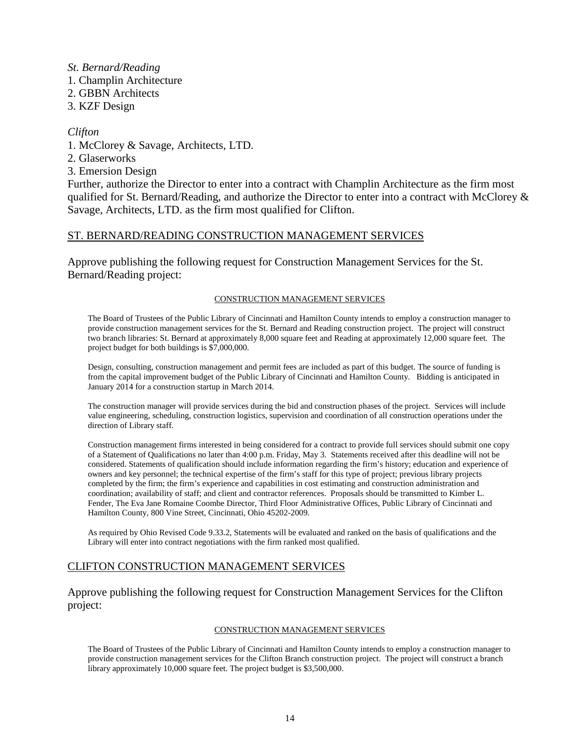#### *St. Bernard/Reading*

- 1. Champlin Architecture
- 2. GBBN Architects
- 3. KZF Design

#### *Clifton*

- 1. McClorey & Savage, Architects, LTD.
- 2. Glaserworks
- 3. Emersion Design

Further, authorize the Director to enter into a contract with Champlin Architecture as the firm most qualified for St. Bernard/Reading, and authorize the Director to enter into a contract with McClorey & Savage, Architects, LTD. as the firm most qualified for Clifton.

#### ST. BERNARD/READING CONSTRUCTION MANAGEMENT SERVICES

Approve publishing the following request for Construction Management Services for the St. Bernard/Reading project:

#### CONSTRUCTION MANAGEMENT SERVICES

The Board of Trustees of the Public Library of Cincinnati and Hamilton County intends to employ a construction manager to provide construction management services for the St. Bernard and Reading construction project. The project will construct two branch libraries: St. Bernard at approximately 8,000 square feet and Reading at approximately 12,000 square feet. The project budget for both buildings is \$7,000,000.

Design, consulting, construction management and permit fees are included as part of this budget. The source of funding is from the capital improvement budget of the Public Library of Cincinnati and Hamilton County. Bidding is anticipated in January 2014 for a construction startup in March 2014.

The construction manager will provide services during the bid and construction phases of the project. Services will include value engineering, scheduling, construction logistics, supervision and coordination of all construction operations under the direction of Library staff.

Construction management firms interested in being considered for a contract to provide full services should submit one copy of a Statement of Qualifications no later than 4:00 p.m. Friday, May 3. Statements received after this deadline will not be considered. Statements of qualification should include information regarding the firm's history; education and experience of owners and key personnel; the technical expertise of the firm's staff for this type of project; previous library projects completed by the firm; the firm's experience and capabilities in cost estimating and construction administration and coordination; availability of staff; and client and contractor references. Proposals should be transmitted to Kimber L. Fender, The Eva Jane Romaine Coombe Director, Third Floor Administrative Offices, Public Library of Cincinnati and Hamilton County, 800 Vine Street, Cincinnati, Ohio 45202-2009.

As required by Ohio Revised Code 9.33.2, Statements will be evaluated and ranked on the basis of qualifications and the Library will enter into contract negotiations with the firm ranked most qualified.

## CLIFTON CONSTRUCTION MANAGEMENT SERVICES

Approve publishing the following request for Construction Management Services for the Clifton project:

#### CONSTRUCTION MANAGEMENT SERVICES

The Board of Trustees of the Public Library of Cincinnati and Hamilton County intends to employ a construction manager to provide construction management services for the Clifton Branch construction project. The project will construct a branch library approximately 10,000 square feet. The project budget is \$3,500,000.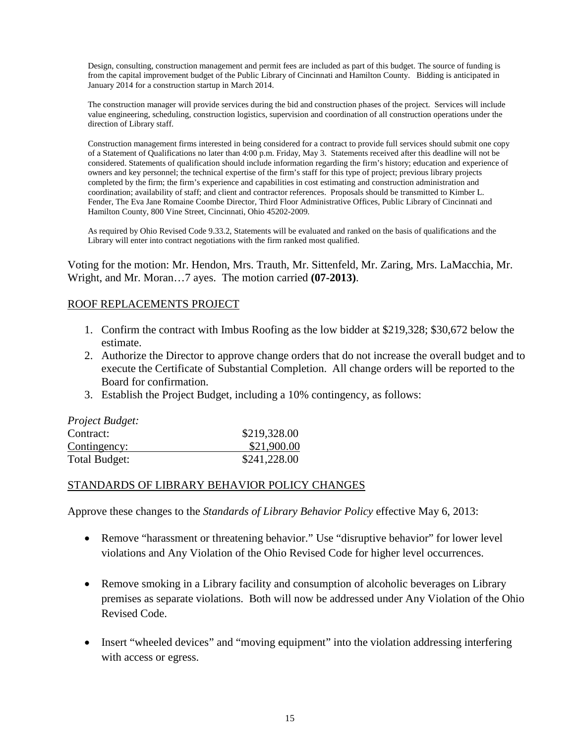Design, consulting, construction management and permit fees are included as part of this budget. The source of funding is from the capital improvement budget of the Public Library of Cincinnati and Hamilton County. Bidding is anticipated in January 2014 for a construction startup in March 2014.

The construction manager will provide services during the bid and construction phases of the project. Services will include value engineering, scheduling, construction logistics, supervision and coordination of all construction operations under the direction of Library staff.

Construction management firms interested in being considered for a contract to provide full services should submit one copy of a Statement of Qualifications no later than 4:00 p.m. Friday, May 3. Statements received after this deadline will not be considered. Statements of qualification should include information regarding the firm's history; education and experience of owners and key personnel; the technical expertise of the firm's staff for this type of project; previous library projects completed by the firm; the firm's experience and capabilities in cost estimating and construction administration and coordination; availability of staff; and client and contractor references. Proposals should be transmitted to Kimber L. Fender, The Eva Jane Romaine Coombe Director, Third Floor Administrative Offices, Public Library of Cincinnati and Hamilton County, 800 Vine Street, Cincinnati, Ohio 45202-2009.

As required by Ohio Revised Code 9.33.2, Statements will be evaluated and ranked on the basis of qualifications and the Library will enter into contract negotiations with the firm ranked most qualified.

Voting for the motion: Mr. Hendon, Mrs. Trauth, Mr. Sittenfeld, Mr. Zaring, Mrs. LaMacchia, Mr. Wright, and Mr. Moran…7 ayes. The motion carried **(07-2013)**.

### ROOF REPLACEMENTS PROJECT

- 1. Confirm the contract with Imbus Roofing as the low bidder at \$219,328; \$30,672 below the estimate.
- 2. Authorize the Director to approve change orders that do not increase the overall budget and to execute the Certificate of Substantial Completion. All change orders will be reported to the Board for confirmation.
- 3. Establish the Project Budget, including a 10% contingency, as follows:

| Project Budget: |              |
|-----------------|--------------|
| Contract:       | \$219,328.00 |
| Contingency:    | \$21,900.00  |
| Total Budget:   | \$241,228.00 |

#### STANDARDS OF LIBRARY BEHAVIOR POLICY CHANGES

Approve these changes to the *Standards of Library Behavior Policy* effective May 6, 2013:

- Remove "harassment or threatening behavior." Use "disruptive behavior" for lower level violations and Any Violation of the Ohio Revised Code for higher level occurrences.
- Remove smoking in a Library facility and consumption of alcoholic beverages on Library premises as separate violations. Both will now be addressed under Any Violation of the Ohio Revised Code.
- Insert "wheeled devices" and "moving equipment" into the violation addressing interfering with access or egress.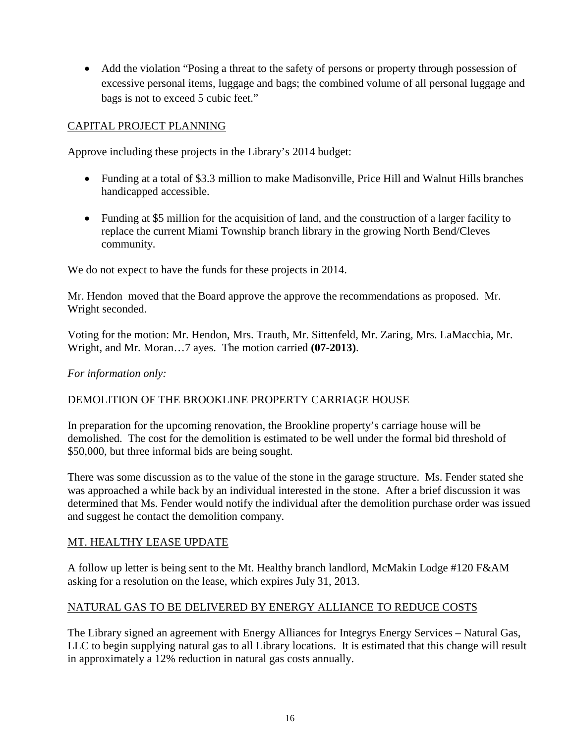• Add the violation "Posing a threat to the safety of persons or property through possession of excessive personal items, luggage and bags; the combined volume of all personal luggage and bags is not to exceed 5 cubic feet."

## CAPITAL PROJECT PLANNING

Approve including these projects in the Library's 2014 budget:

- Funding at a total of \$3.3 million to make Madisonville, Price Hill and Walnut Hills branches handicapped accessible.
- Funding at \$5 million for the acquisition of land, and the construction of a larger facility to replace the current Miami Township branch library in the growing North Bend/Cleves community.

We do not expect to have the funds for these projects in 2014.

Mr. Hendon moved that the Board approve the approve the recommendations as proposed. Mr. Wright seconded.

Voting for the motion: Mr. Hendon, Mrs. Trauth, Mr. Sittenfeld, Mr. Zaring, Mrs. LaMacchia, Mr. Wright, and Mr. Moran…7 ayes. The motion carried **(07-2013)**.

*For information only:*

## DEMOLITION OF THE BROOKLINE PROPERTY CARRIAGE HOUSE

In preparation for the upcoming renovation, the Brookline property's carriage house will be demolished. The cost for the demolition is estimated to be well under the formal bid threshold of \$50,000, but three informal bids are being sought.

There was some discussion as to the value of the stone in the garage structure. Ms. Fender stated she was approached a while back by an individual interested in the stone. After a brief discussion it was determined that Ms. Fender would notify the individual after the demolition purchase order was issued and suggest he contact the demolition company.

## MT. HEALTHY LEASE UPDATE

A follow up letter is being sent to the Mt. Healthy branch landlord, McMakin Lodge #120 F&AM asking for a resolution on the lease, which expires July 31, 2013.

## NATURAL GAS TO BE DELIVERED BY ENERGY ALLIANCE TO REDUCE COSTS

The Library signed an agreement with Energy Alliances for Integrys Energy Services – Natural Gas, LLC to begin supplying natural gas to all Library locations. It is estimated that this change will result in approximately a 12% reduction in natural gas costs annually.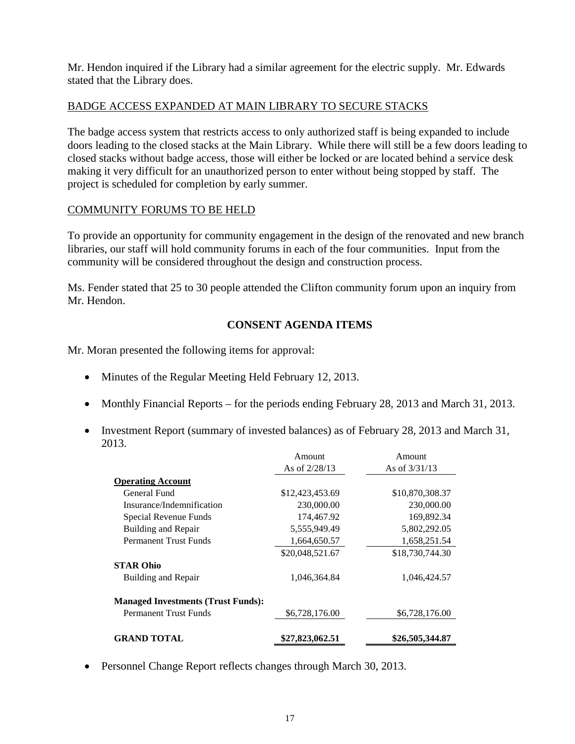Mr. Hendon inquired if the Library had a similar agreement for the electric supply. Mr. Edwards stated that the Library does.

## BADGE ACCESS EXPANDED AT MAIN LIBRARY TO SECURE STACKS

The badge access system that restricts access to only authorized staff is being expanded to include doors leading to the closed stacks at the Main Library. While there will still be a few doors leading to closed stacks without badge access, those will either be locked or are located behind a service desk making it very difficult for an unauthorized person to enter without being stopped by staff. The project is scheduled for completion by early summer.

## COMMUNITY FORUMS TO BE HELD

To provide an opportunity for community engagement in the design of the renovated and new branch libraries, our staff will hold community forums in each of the four communities. Input from the community will be considered throughout the design and construction process.

Ms. Fender stated that 25 to 30 people attended the Clifton community forum upon an inquiry from Mr. Hendon.

## **CONSENT AGENDA ITEMS**

Mr. Moran presented the following items for approval:

- Minutes of the Regular Meeting Held February 12, 2013.
- Monthly Financial Reports for the periods ending February 28, 2013 and March 31, 2013.
- Investment Report (summary of invested balances) as of February 28, 2013 and March 31, 2013.

|                                           | Amount          | Amount.         |
|-------------------------------------------|-----------------|-----------------|
|                                           | As of $2/28/13$ | As of $3/31/13$ |
| <b>Operating Account</b>                  |                 |                 |
| General Fund                              | \$12,423,453.69 | \$10,870,308.37 |
| Insurance/Indemnification                 | 230,000.00      | 230,000.00      |
| Special Revenue Funds                     | 174,467.92      | 169,892.34      |
| Building and Repair                       | 5,555,949.49    | 5,802,292.05    |
| <b>Permanent Trust Funds</b>              | 1,664,650.57    | 1,658,251.54    |
|                                           | \$20,048,521.67 | \$18,730,744.30 |
| <b>STAR Ohio</b>                          |                 |                 |
| Building and Repair                       | 1,046,364.84    | 1,046,424.57    |
| <b>Managed Investments (Trust Funds):</b> |                 |                 |
| <b>Permanent Trust Funds</b>              | \$6,728,176.00  | \$6,728,176.00  |
| <b>GRAND TOTAL</b>                        | \$27,823,062.51 | \$26,505,344.87 |

• Personnel Change Report reflects changes through March 30, 2013.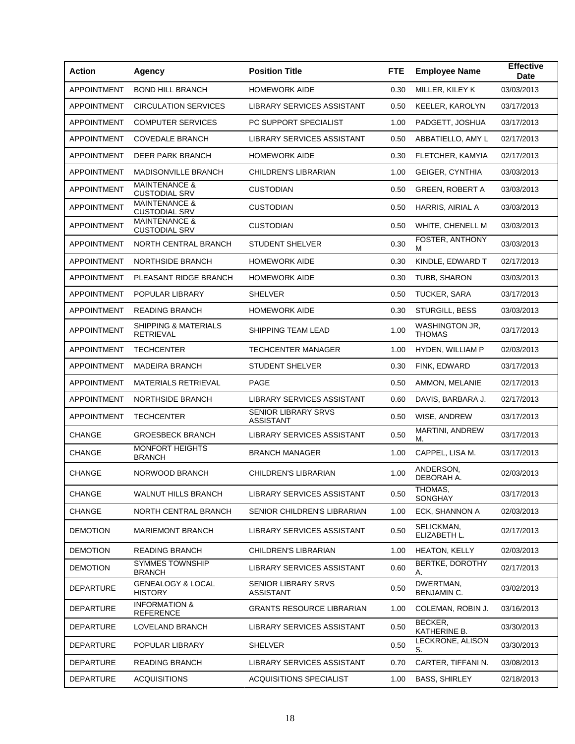| <b>Action</b>      | <b>Agency</b>                                    | <b>Position Title</b>                          | <b>FTE</b> | <b>Employee Name</b>            | <b>Effective</b><br><b>Date</b> |
|--------------------|--------------------------------------------------|------------------------------------------------|------------|---------------------------------|---------------------------------|
| <b>APPOINTMENT</b> | <b>BOND HILL BRANCH</b>                          | <b>HOMEWORK AIDE</b>                           | 0.30       | MILLER, KILEY K                 | 03/03/2013                      |
| <b>APPOINTMENT</b> | <b>CIRCULATION SERVICES</b>                      | LIBRARY SERVICES ASSISTANT                     | 0.50       | <b>KEELER, KAROLYN</b>          | 03/17/2013                      |
| <b>APPOINTMENT</b> | <b>COMPUTER SERVICES</b>                         | PC SUPPORT SPECIALIST                          | 1.00       | PADGETT, JOSHUA                 | 03/17/2013                      |
| <b>APPOINTMENT</b> | <b>COVEDALE BRANCH</b>                           | LIBRARY SERVICES ASSISTANT                     | 0.50       | ABBATIELLO, AMY L               | 02/17/2013                      |
| <b>APPOINTMENT</b> | <b>DEER PARK BRANCH</b>                          | <b>HOMEWORK AIDE</b>                           | 0.30       | FLETCHER, KAMYIA                | 02/17/2013                      |
| <b>APPOINTMENT</b> | <b>MADISONVILLE BRANCH</b>                       | CHILDREN'S LIBRARIAN                           | 1.00       | <b>GEIGER, CYNTHIA</b>          | 03/03/2013                      |
| <b>APPOINTMENT</b> | <b>MAINTENANCE &amp;</b><br><b>CUSTODIAL SRV</b> | <b>CUSTODIAN</b>                               | 0.50       | <b>GREEN, ROBERT A</b>          | 03/03/2013                      |
| <b>APPOINTMENT</b> | <b>MAINTENANCE &amp;</b><br><b>CUSTODIAL SRV</b> | <b>CUSTODIAN</b>                               | 0.50       | HARRIS, AIRIAL A                | 03/03/2013                      |
| <b>APPOINTMENT</b> | <b>MAINTENANCE &amp;</b><br><b>CUSTODIAL SRV</b> | <b>CUSTODIAN</b>                               | 0.50       | WHITE, CHENELL M                | 03/03/2013                      |
| <b>APPOINTMENT</b> | NORTH CENTRAL BRANCH                             | <b>STUDENT SHELVER</b>                         | 0.30       | FOSTER, ANTHONY<br>м            | 03/03/2013                      |
| <b>APPOINTMENT</b> | NORTHSIDE BRANCH                                 | <b>HOMEWORK AIDE</b>                           | 0.30       | KINDLE, EDWARD T                | 02/17/2013                      |
| <b>APPOINTMENT</b> | PLEASANT RIDGE BRANCH                            | <b>HOMEWORK AIDE</b>                           | 0.30       | TUBB, SHARON                    | 03/03/2013                      |
| <b>APPOINTMENT</b> | POPULAR LIBRARY                                  | <b>SHELVER</b>                                 | 0.50       | <b>TUCKER, SARA</b>             | 03/17/2013                      |
| <b>APPOINTMENT</b> | <b>READING BRANCH</b>                            | <b>HOMEWORK AIDE</b>                           | 0.30       | STURGILL, BESS                  | 03/03/2013                      |
| <b>APPOINTMENT</b> | SHIPPING & MATERIALS<br><b>RETRIEVAL</b>         | SHIPPING TEAM LEAD                             | 1.00       | <b>WASHINGTON JR.</b><br>THOMAS | 03/17/2013                      |
| <b>APPOINTMENT</b> | <b>TECHCENTER</b>                                | <b>TECHCENTER MANAGER</b>                      | 1.00       | HYDEN, WILLIAM P                | 02/03/2013                      |
| <b>APPOINTMENT</b> | <b>MADEIRA BRANCH</b>                            | <b>STUDENT SHELVER</b>                         | 0.30       | FINK, EDWARD                    | 03/17/2013                      |
| <b>APPOINTMENT</b> | <b>MATERIALS RETRIEVAL</b>                       | PAGE                                           | 0.50       | AMMON, MELANIE                  | 02/17/2013                      |
| <b>APPOINTMENT</b> | <b>NORTHSIDE BRANCH</b>                          | LIBRARY SERVICES ASSISTANT                     | 0.60       | DAVIS, BARBARA J.               | 02/17/2013                      |
| <b>APPOINTMENT</b> | <b>TECHCENTER</b>                                | <b>SENIOR LIBRARY SRVS</b><br><b>ASSISTANT</b> | 0.50       | WISE, ANDREW                    | 03/17/2013                      |
| <b>CHANGE</b>      | <b>GROESBECK BRANCH</b>                          | LIBRARY SERVICES ASSISTANT                     | 0.50       | MARTINI, ANDREW<br>М.           | 03/17/2013                      |
| <b>CHANGE</b>      | <b>MONFORT HEIGHTS</b><br><b>BRANCH</b>          | <b>BRANCH MANAGER</b>                          | 1.00       | CAPPEL, LISA M.                 | 03/17/2013                      |
| <b>CHANGE</b>      | NORWOOD BRANCH                                   | CHILDREN'S LIBRARIAN                           | 1.00       | ANDERSON,<br>DEBORAH A.         | 02/03/2013                      |
| <b>CHANGE</b>      | <b>WALNUT HILLS BRANCH</b>                       | LIBRARY SERVICES ASSISTANT                     | 0.50       | THOMAS,<br>SONGHAY              | 03/17/2013                      |
| <b>CHANGE</b>      | NORTH CENTRAL BRANCH                             | SENIOR CHILDREN'S LIBRARIAN                    | 1.00       | ECK, SHANNON A                  | 02/03/2013                      |
| <b>DEMOTION</b>    | <b>MARIEMONT BRANCH</b>                          | <b>LIBRARY SERVICES ASSISTANT</b>              | 0.50       | SELICKMAN,<br>ELIZABETH L.      | 02/17/2013                      |
| <b>DEMOTION</b>    | READING BRANCH                                   | CHILDREN'S LIBRARIAN                           | 1.00       | <b>HEATON, KELLY</b>            | 02/03/2013                      |
| DEMOTION           | <b>SYMMES TOWNSHIP</b><br><b>BRANCH</b>          | LIBRARY SERVICES ASSISTANT                     | 0.60       | <b>BERTKE, DOROTHY</b><br>А.    | 02/17/2013                      |
| <b>DEPARTURE</b>   | <b>GENEALOGY &amp; LOCAL</b><br><b>HISTORY</b>   | SENIOR LIBRARY SRVS<br><b>ASSISTANT</b>        | 0.50       | DWERTMAN,<br><b>BENJAMIN C.</b> | 03/02/2013                      |
| <b>DEPARTURE</b>   | <b>INFORMATION &amp;</b><br>REFERENCE            | <b>GRANTS RESOURCE LIBRARIAN</b>               | 1.00       | COLEMAN, ROBIN J.               | 03/16/2013                      |
| <b>DEPARTURE</b>   | LOVELAND BRANCH                                  | LIBRARY SERVICES ASSISTANT                     | 0.50       | BECKER,<br>KATHERINE B.         | 03/30/2013                      |
| DEPARTURE          | POPULAR LIBRARY                                  | <b>SHELVER</b>                                 | 0.50       | LECKRONE, ALISON<br>S.          | 03/30/2013                      |
| <b>DEPARTURE</b>   | <b>READING BRANCH</b>                            | LIBRARY SERVICES ASSISTANT                     | 0.70       | CARTER, TIFFANI N.              | 03/08/2013                      |
| <b>DEPARTURE</b>   | <b>ACQUISITIONS</b>                              | <b>ACQUISITIONS SPECIALIST</b>                 | 1.00       | <b>BASS, SHIRLEY</b>            | 02/18/2013                      |